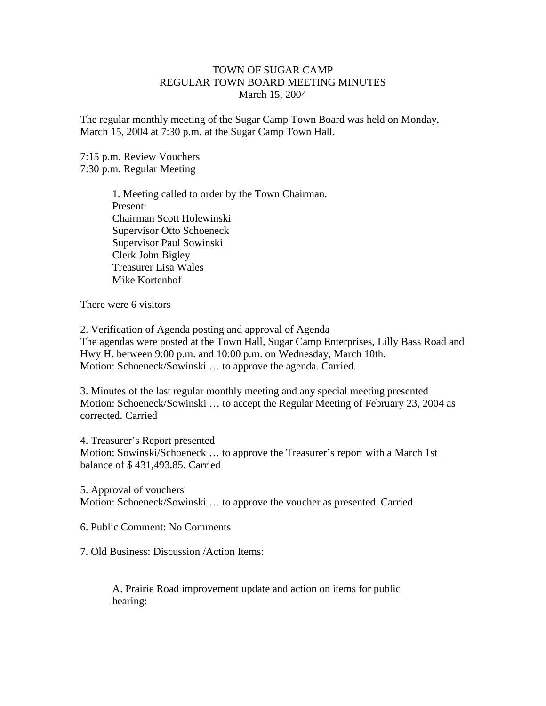## TOWN OF SUGAR CAMP REGULAR TOWN BOARD MEETING MINUTES March 15, 2004

The regular monthly meeting of the Sugar Camp Town Board was held on Monday, March 15, 2004 at 7:30 p.m. at the Sugar Camp Town Hall.

7:15 p.m. Review Vouchers 7:30 p.m. Regular Meeting

> 1. Meeting called to order by the Town Chairman. Present: Chairman Scott Holewinski Supervisor Otto Schoeneck Supervisor Paul Sowinski Clerk John Bigley Treasurer Lisa Wales Mike Kortenhof

There were 6 visitors

2. Verification of Agenda posting and approval of Agenda The agendas were posted at the Town Hall, Sugar Camp Enterprises, Lilly Bass Road and Hwy H. between 9:00 p.m. and 10:00 p.m. on Wednesday, March 10th. Motion: Schoeneck/Sowinski … to approve the agenda. Carried.

3. Minutes of the last regular monthly meeting and any special meeting presented Motion: Schoeneck/Sowinski … to accept the Regular Meeting of February 23, 2004 as corrected. Carried

4. Treasurer's Report presented Motion: Sowinski/Schoeneck … to approve the Treasurer's report with a March 1st balance of \$ 431,493.85. Carried

5. Approval of vouchers Motion: Schoeneck/Sowinski … to approve the voucher as presented. Carried

6. Public Comment: No Comments

7. Old Business: Discussion /Action Items:

A. Prairie Road improvement update and action on items for public hearing: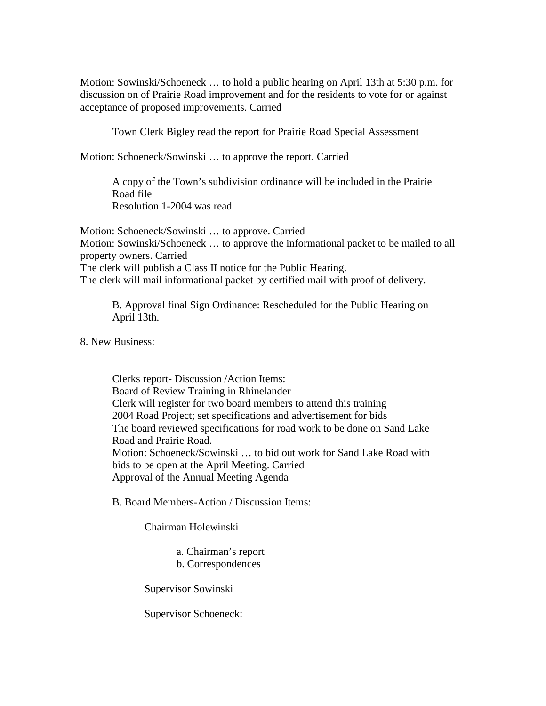Motion: Sowinski/Schoeneck … to hold a public hearing on April 13th at 5:30 p.m. for discussion on of Prairie Road improvement and for the residents to vote for or against acceptance of proposed improvements. Carried

Town Clerk Bigley read the report for Prairie Road Special Assessment

Motion: Schoeneck/Sowinski … to approve the report. Carried

A copy of the Town's subdivision ordinance will be included in the Prairie Road file Resolution 1-2004 was read

Motion: Schoeneck/Sowinski … to approve. Carried Motion: Sowinski/Schoeneck … to approve the informational packet to be mailed to all property owners. Carried The clerk will publish a Class II notice for the Public Hearing. The clerk will mail informational packet by certified mail with proof of delivery.

B. Approval final Sign Ordinance: Rescheduled for the Public Hearing on April 13th.

8. New Business:

Clerks report- Discussion /Action Items: Board of Review Training in Rhinelander Clerk will register for two board members to attend this training 2004 Road Project; set specifications and advertisement for bids The board reviewed specifications for road work to be done on Sand Lake Road and Prairie Road. Motion: Schoeneck/Sowinski … to bid out work for Sand Lake Road with bids to be open at the April Meeting. Carried Approval of the Annual Meeting Agenda

B. Board Members-Action / Discussion Items:

Chairman Holewinski

a. Chairman's report b. Correspondences

Supervisor Sowinski

Supervisor Schoeneck: